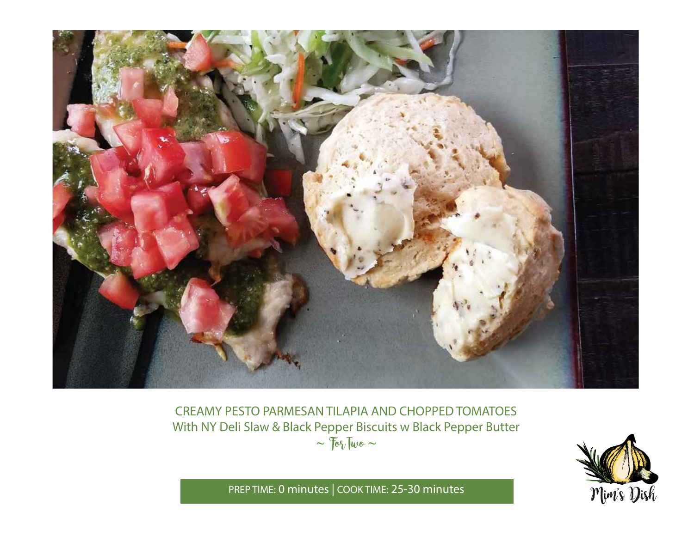

CREAMY PESTO PARMESAN TILAPIA AND CHOPPED TOMATOES With NY Deli Slaw & Black Pepper Biscuits w Black Pepper Butter  $\sim$   $70\sqrt{100}$   $\sim$ 



PREP TIME: **0 minutes** | COOK TIME: 25-**30 minutes**